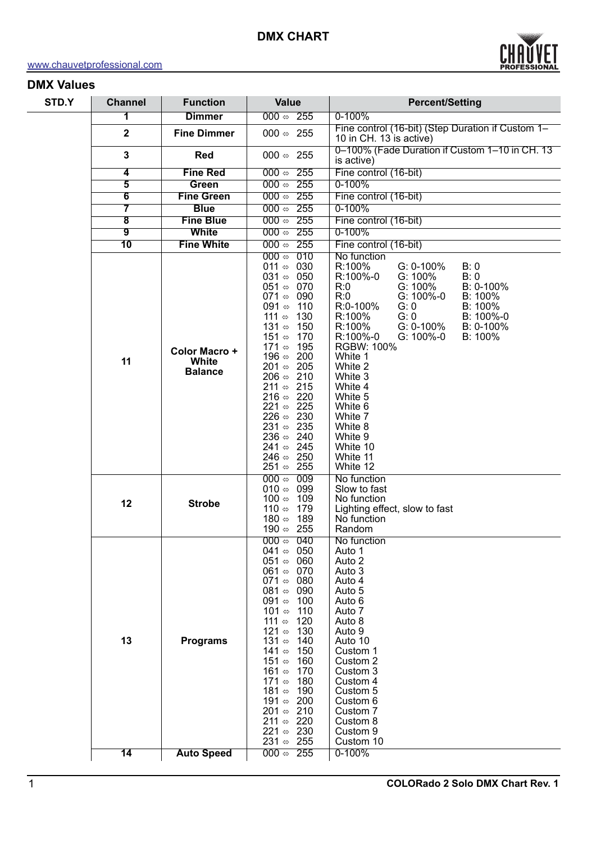

### **DMX Values**

| STD.Y | <b>Channel</b>          | <b>Function</b>                                 | <b>Value</b>                                                                                                                                                                                                                                                                                                                                                                                                                                                                                                                                                                                                                           | <b>Percent/Setting</b>                                                                                                                                                                                                                                                                                                                                                                                                             |
|-------|-------------------------|-------------------------------------------------|----------------------------------------------------------------------------------------------------------------------------------------------------------------------------------------------------------------------------------------------------------------------------------------------------------------------------------------------------------------------------------------------------------------------------------------------------------------------------------------------------------------------------------------------------------------------------------------------------------------------------------------|------------------------------------------------------------------------------------------------------------------------------------------------------------------------------------------------------------------------------------------------------------------------------------------------------------------------------------------------------------------------------------------------------------------------------------|
|       | 1                       | <b>Dimmer</b>                                   | $000 \Leftrightarrow 255$                                                                                                                                                                                                                                                                                                                                                                                                                                                                                                                                                                                                              | $0 - 100%$                                                                                                                                                                                                                                                                                                                                                                                                                         |
|       | $\mathbf{2}$            | <b>Fine Dimmer</b>                              | 000 $\Leftrightarrow$ 255                                                                                                                                                                                                                                                                                                                                                                                                                                                                                                                                                                                                              | Fine control (16-bit) (Step Duration if Custom 1-<br>10 in CH. 13 is active)                                                                                                                                                                                                                                                                                                                                                       |
|       | $\mathbf{3}$            | <b>Red</b>                                      | 000 $\Leftrightarrow$ 255                                                                                                                                                                                                                                                                                                                                                                                                                                                                                                                                                                                                              | 0-100% (Fade Duration if Custom 1-10 in CH. 13<br>is active)                                                                                                                                                                                                                                                                                                                                                                       |
|       | $\overline{\mathbf{4}}$ | <b>Fine Red</b>                                 | $000 \Leftrightarrow 255$                                                                                                                                                                                                                                                                                                                                                                                                                                                                                                                                                                                                              | Fine control (16-bit)                                                                                                                                                                                                                                                                                                                                                                                                              |
|       | $\overline{\mathbf{5}}$ | Green                                           | $000 \Leftrightarrow 255$                                                                                                                                                                                                                                                                                                                                                                                                                                                                                                                                                                                                              | $0 - 100%$                                                                                                                                                                                                                                                                                                                                                                                                                         |
|       | $\overline{6}$          | <b>Fine Green</b>                               | $000 \Leftrightarrow 255$                                                                                                                                                                                                                                                                                                                                                                                                                                                                                                                                                                                                              | Fine control (16-bit)                                                                                                                                                                                                                                                                                                                                                                                                              |
|       | $\overline{\mathbf{7}}$ | <b>Blue</b>                                     | $000 \Leftrightarrow 255$                                                                                                                                                                                                                                                                                                                                                                                                                                                                                                                                                                                                              | $0 - 100%$                                                                                                                                                                                                                                                                                                                                                                                                                         |
|       | $\overline{\mathbf{8}}$ | <b>Fine Blue</b>                                | $000 \Leftrightarrow 255$                                                                                                                                                                                                                                                                                                                                                                                                                                                                                                                                                                                                              | Fine control (16-bit)                                                                                                                                                                                                                                                                                                                                                                                                              |
|       | $\overline{9}$          | <b>White</b>                                    | $000 \Leftrightarrow 255$                                                                                                                                                                                                                                                                                                                                                                                                                                                                                                                                                                                                              | $0 - 100%$                                                                                                                                                                                                                                                                                                                                                                                                                         |
|       | $\overline{10}$         | <b>Fine White</b>                               | $000 \Leftrightarrow 255$                                                                                                                                                                                                                                                                                                                                                                                                                                                                                                                                                                                                              | Fine control (16-bit)                                                                                                                                                                                                                                                                                                                                                                                                              |
|       | 11                      | Color Macro +<br><b>White</b><br><b>Balance</b> | 010<br>000 $\Leftrightarrow$<br>011 $\Leftrightarrow$ 030<br>031 $\Leftrightarrow$ 050<br>051 $\Leftrightarrow$ 070<br>071 $\Leftrightarrow$ 090<br>091 $\Leftrightarrow$ 110<br>111 $\Leftrightarrow$<br>130<br>131 $\Leftrightarrow$ 150<br>151 ⇔<br>170<br>171 $\Leftrightarrow$ 195<br>196 $\Leftrightarrow$ 200<br>201 $\Leftrightarrow$ 205<br>206 $\Leftrightarrow$ 210<br>215<br>211 ⇔<br>216 $\Leftrightarrow$ 220<br>221 $\Leftrightarrow$ 225<br>226 $\Leftrightarrow$ 230<br>231 $\Leftrightarrow$ 235<br>236 $\Leftrightarrow$ 240<br>241 $\Leftrightarrow$ 245<br>246 $\Leftrightarrow$ 250<br>251 $\Leftrightarrow$ 255 | No function<br>R:100%<br>G: 0-100%<br>B: 0<br>G: 100%<br>R:100%-0<br>B: 0<br>G: 100%<br>B: 0-100%<br>R:0<br>G: 100%-0<br>R:0<br>B: 100%<br>R:0-100%<br>G: 0<br>B: 100%<br>R:100%<br>G: 0<br>B: 100%-0<br>R:100%<br>G: 0-100%<br>B: 0-100%<br>R:100%-0<br>G: 100%-0<br>B: 100%<br>RGBW: 100%<br>White 1<br>White 2<br>White 3<br>White 4<br>White 5<br>White 6<br>White 7<br>White 8<br>White 9<br>White 10<br>White 11<br>White 12 |
|       | 12                      | <b>Strobe</b>                                   | $000 \Leftrightarrow 009$<br>010 $\Leftrightarrow$ 099<br>100 $\Leftrightarrow$ 109<br>110 ⇔<br>179<br>189<br>180 ⇔<br>190 $\Leftrightarrow$ 255                                                                                                                                                                                                                                                                                                                                                                                                                                                                                       | No function<br>Slow to fast<br>No function<br>Lighting effect, slow to fast<br>No function<br>Random                                                                                                                                                                                                                                                                                                                               |
|       | 13                      | <b>Programs</b>                                 | $000 \Leftrightarrow 040$<br>041 $\Leftrightarrow$ 050<br>051 $\Leftrightarrow$ 060<br>061 $\Leftrightarrow$ 070<br>071 $\Leftrightarrow$ 080<br>081 $\Leftrightarrow$ 090<br>091 $\Leftrightarrow$<br>100<br>110<br>101 ⇔<br>111 ⇔<br>120<br>121 $\Leftrightarrow$<br>130<br>140<br>131 ⇔<br>141 ⇔<br>150<br>151 ⇔<br>160<br>161 ⇔<br>170<br>171 ⇔<br>180<br>181 ⇔<br>190<br>191 $\Leftrightarrow$ 200<br>210<br>201 $\Leftrightarrow$<br>211 $\Leftrightarrow$ 220<br>221 $\Leftrightarrow$ 230<br>231 $\Leftrightarrow$ 255                                                                                                         | No function<br>Auto 1<br>Auto 2<br>Auto 3<br>Auto 4<br>Auto 5<br>Auto 6<br>Auto 7<br>Auto 8<br>Auto 9<br>Auto 10<br>Custom 1<br>Custom 2<br>Custom 3<br>Custom 4<br>Custom 5<br>Custom 6<br>Custom 7<br>Custom 8<br>Custom 9<br>Custom 10                                                                                                                                                                                          |
|       | 14                      | <b>Auto Speed</b>                               | 000 $\Leftrightarrow$ 255                                                                                                                                                                                                                                                                                                                                                                                                                                                                                                                                                                                                              | $0 - 100%$                                                                                                                                                                                                                                                                                                                                                                                                                         |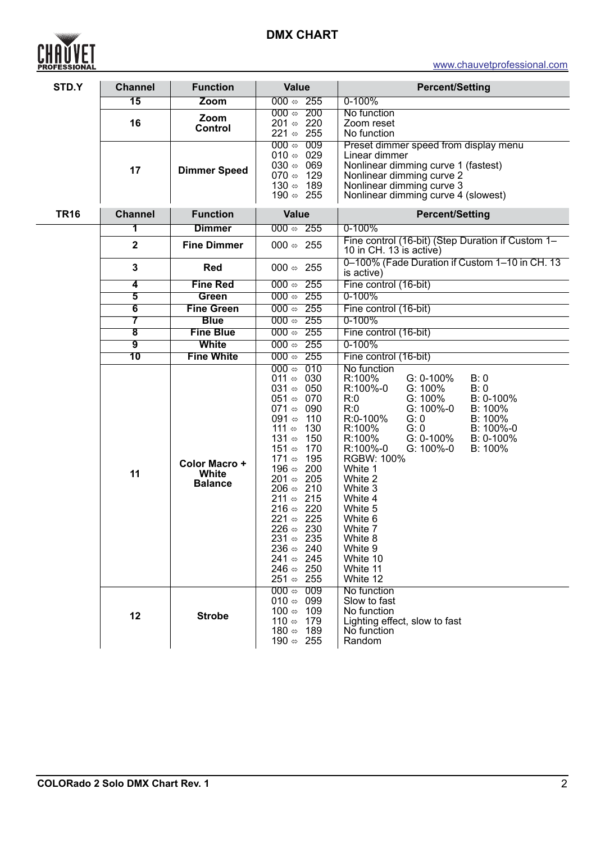# **DMX CHART**



| STD.Y       | <b>Channel</b>               | <b>Function</b>                          | <b>Value</b>                                                                                                                                                                                                                                                                                                                                                                                                                                                                                                                                                                                   | <b>Percent/Setting</b>                                                                                                                                                                                                                                                                                                                                                                                                                    |
|-------------|------------------------------|------------------------------------------|------------------------------------------------------------------------------------------------------------------------------------------------------------------------------------------------------------------------------------------------------------------------------------------------------------------------------------------------------------------------------------------------------------------------------------------------------------------------------------------------------------------------------------------------------------------------------------------------|-------------------------------------------------------------------------------------------------------------------------------------------------------------------------------------------------------------------------------------------------------------------------------------------------------------------------------------------------------------------------------------------------------------------------------------------|
|             | $\overline{15}$              | Zoom                                     | $000 \Leftrightarrow 255$                                                                                                                                                                                                                                                                                                                                                                                                                                                                                                                                                                      | $0 - 100%$                                                                                                                                                                                                                                                                                                                                                                                                                                |
|             | 16                           | Zoom<br><b>Control</b>                   | $000 \Leftrightarrow 200$<br>220<br>201 ⇔<br>221 $\Leftrightarrow$ 255                                                                                                                                                                                                                                                                                                                                                                                                                                                                                                                         | No function<br>Zoom reset<br>No function                                                                                                                                                                                                                                                                                                                                                                                                  |
|             | 17                           | <b>Dimmer Speed</b>                      | 000 $\Leftrightarrow$<br>009<br>029<br>010 $\Leftrightarrow$<br>$030 \Leftrightarrow 069$<br>129<br>070 $\Leftrightarrow$<br>189<br>130 $\Leftrightarrow$<br>190 $\Leftrightarrow$ 255                                                                                                                                                                                                                                                                                                                                                                                                         | Preset dimmer speed from display menu<br>Linear dimmer<br>Nonlinear dimming curve 1 (fastest)<br>Nonlinear dimming curve 2<br>Nonlinear dimming curve 3<br>Nonlinear dimming curve 4 (slowest)                                                                                                                                                                                                                                            |
| <b>TR16</b> | <b>Channel</b>               | <b>Function</b>                          | <b>Value</b>                                                                                                                                                                                                                                                                                                                                                                                                                                                                                                                                                                                   | <b>Percent/Setting</b>                                                                                                                                                                                                                                                                                                                                                                                                                    |
|             | 1                            | <b>Dimmer</b>                            | $000 \approx 255$                                                                                                                                                                                                                                                                                                                                                                                                                                                                                                                                                                              | $0 - 100%$                                                                                                                                                                                                                                                                                                                                                                                                                                |
|             | $\mathbf{2}$                 | <b>Fine Dimmer</b>                       | $000 \Leftrightarrow 255$                                                                                                                                                                                                                                                                                                                                                                                                                                                                                                                                                                      | Fine control (16-bit) (Step Duration if Custom 1-<br>10 in CH. 13 is active)                                                                                                                                                                                                                                                                                                                                                              |
|             | $\mathbf{3}$                 | <b>Red</b>                               | 000 $\Leftrightarrow$ 255                                                                                                                                                                                                                                                                                                                                                                                                                                                                                                                                                                      | 0-100% (Fade Duration if Custom 1-10 in CH. 13<br>is active)                                                                                                                                                                                                                                                                                                                                                                              |
|             | 4                            | <b>Fine Red</b>                          | $000 \Leftrightarrow 255$                                                                                                                                                                                                                                                                                                                                                                                                                                                                                                                                                                      | Fine control (16-bit)                                                                                                                                                                                                                                                                                                                                                                                                                     |
|             | 5                            | <b>Green</b>                             | $000 \Leftrightarrow 255$                                                                                                                                                                                                                                                                                                                                                                                                                                                                                                                                                                      | 0-100%                                                                                                                                                                                                                                                                                                                                                                                                                                    |
|             | $\overline{\mathbf{6}}$      | <b>Fine Green</b>                        | $000 \Leftrightarrow 255$                                                                                                                                                                                                                                                                                                                                                                                                                                                                                                                                                                      | Fine control (16-bit)                                                                                                                                                                                                                                                                                                                                                                                                                     |
|             | 7<br>$\overline{\mathbf{8}}$ | <b>Blue</b><br><b>Fine Blue</b>          | $000 \Leftrightarrow 255$<br>$000 \Leftrightarrow 255$                                                                                                                                                                                                                                                                                                                                                                                                                                                                                                                                         | 0-100%<br>Fine control (16-bit)                                                                                                                                                                                                                                                                                                                                                                                                           |
|             | $\overline{9}$               | <b>White</b>                             | $000 \Leftrightarrow 255$                                                                                                                                                                                                                                                                                                                                                                                                                                                                                                                                                                      | 0-100%                                                                                                                                                                                                                                                                                                                                                                                                                                    |
|             | 10                           | <b>Fine White</b>                        | $000 \Leftrightarrow 255$                                                                                                                                                                                                                                                                                                                                                                                                                                                                                                                                                                      | Fine control (16-bit)                                                                                                                                                                                                                                                                                                                                                                                                                     |
|             | 11                           | Color Macro +<br>White<br><b>Balance</b> | 000 $\Leftrightarrow$<br>010<br>011 $\Leftrightarrow$ 030<br>050<br>031 ⇔<br>070<br>051 ⇔<br>071 $\Leftrightarrow$ 090<br>110<br>091 $\Leftrightarrow$<br>130<br>111 $\Leftrightarrow$<br>150<br>131 $\Leftrightarrow$<br>170<br>151 ⇔<br>195<br>171 ⇔<br>200<br>196 ⇔<br>205<br>201 ⇔<br>$206 \Leftrightarrow 210$<br>211 $\Leftrightarrow$ 215<br>$216 \Leftrightarrow 220$<br>221 $\Leftrightarrow$ 225<br>$226 \Leftrightarrow 230$<br>231 $\Leftrightarrow$ 235<br>240<br>236 $\Leftrightarrow$<br>241 $\Leftrightarrow$ 245<br>246 $\Leftrightarrow$ 250<br>251 $\Leftrightarrow$<br>255 | No function<br>G: 0-100%<br>R:100%<br>B: 0<br>R:100%-0<br>G: 100%<br>B: 0<br>G: 100%<br>B: 0-100%<br>R:0<br>R:0<br>G: 100%-0<br>B: 100%<br>R:0-100%<br>G: 0<br>B: 100%<br>G: 0<br>R:100%<br>B: 100%-0<br>R:100%<br>G: 0-100%<br>B: 0-100%<br>R:100%-0<br>G: 100%-0<br>B: 100%<br><b>RGBW: 100%</b><br>White 1<br>White 2<br>White 3<br>White 4<br>White 5<br>White 6<br>White 7<br>White 8<br>White 9<br>White 10<br>White 11<br>White 12 |
|             | 12                           | <b>Strobe</b>                            | $000 \Leftrightarrow$<br>009<br>099<br>010 $\Leftrightarrow$<br>100 ⇔<br>109<br>110 ⇔<br>179<br>180 ⇔<br>189<br>190 $\Leftrightarrow$ 255                                                                                                                                                                                                                                                                                                                                                                                                                                                      | No function<br>Slow to fast<br>No function<br>Lighting effect, slow to fast<br>No function<br>Random                                                                                                                                                                                                                                                                                                                                      |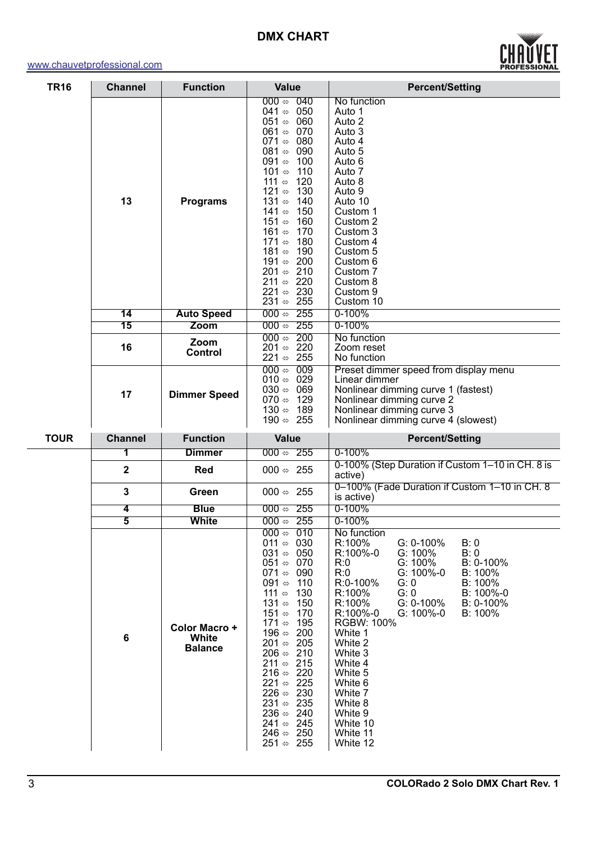#### <www.chauvetprofessional.com>



| <b>TR16</b> | <b>Channel</b>          | <b>Function</b>                          | <b>Value</b>                                                                                                                                                                                                                                                                                                                                                                                                                                                                                                                                                                                                                              | <b>Percent/Setting</b>                                                                                                                                                                                                                                                                                                                                                                                                                           |
|-------------|-------------------------|------------------------------------------|-------------------------------------------------------------------------------------------------------------------------------------------------------------------------------------------------------------------------------------------------------------------------------------------------------------------------------------------------------------------------------------------------------------------------------------------------------------------------------------------------------------------------------------------------------------------------------------------------------------------------------------------|--------------------------------------------------------------------------------------------------------------------------------------------------------------------------------------------------------------------------------------------------------------------------------------------------------------------------------------------------------------------------------------------------------------------------------------------------|
|             | 13                      | <b>Programs</b>                          | $\overline{040}$<br>000 $\Leftrightarrow$<br>050<br>041 ⇔<br>060<br>051 ⇔<br>061 $\Leftrightarrow$<br>070<br>071 $\Leftrightarrow$<br>080<br>090<br>081 $\Leftrightarrow$<br>091 $\Leftrightarrow$<br>100<br>101 ⇔<br>110<br>111 $\Leftrightarrow$<br>120<br>121 ⇔<br>130<br>131 $\Leftrightarrow$<br>140<br>150<br>141 ⇔<br>151 ⇔<br>160<br>161 ⇔<br>170<br>180<br>171 ⇔<br>190<br>181 ⇔<br>191 ⇔<br>200<br>210<br>201 ⇔<br>220<br>211 $\Leftrightarrow$<br>221 $\Leftrightarrow$ 230<br>231 $\Leftrightarrow$ 255                                                                                                                       | No function<br>Auto 1<br>Auto 2<br>Auto 3<br>Auto 4<br>Auto 5<br>Auto 6<br>Auto 7<br>Auto 8<br>Auto 9<br>Auto 10<br>Custom 1<br>Custom 2<br>Custom 3<br>Custom 4<br>Custom 5<br>Custom 6<br>Custom 7<br>Custom 8<br>Custom 9<br>Custom 10                                                                                                                                                                                                        |
|             | 14                      | <b>Auto Speed</b>                        | 255<br>000 $\Leftrightarrow$                                                                                                                                                                                                                                                                                                                                                                                                                                                                                                                                                                                                              | 0-100%                                                                                                                                                                                                                                                                                                                                                                                                                                           |
|             | 15                      | Zoom                                     | $000 \Leftrightarrow 255$<br>200<br>000 $\Leftrightarrow$                                                                                                                                                                                                                                                                                                                                                                                                                                                                                                                                                                                 | 0-100%<br>No function                                                                                                                                                                                                                                                                                                                                                                                                                            |
|             | 16                      | Zoom<br><b>Control</b>                   | 220<br>201 ⇔<br>221 $\Leftrightarrow$ 255                                                                                                                                                                                                                                                                                                                                                                                                                                                                                                                                                                                                 | Zoom reset<br>No function                                                                                                                                                                                                                                                                                                                                                                                                                        |
|             | 17                      | <b>Dimmer Speed</b>                      | 000 $\Leftrightarrow$<br>009<br>010 $\Leftrightarrow$ 029<br>030 $\Leftrightarrow$<br>069<br>070 $\Leftrightarrow$ 129<br>130 $\Leftrightarrow$ 189<br>190 $\Leftrightarrow$ 255                                                                                                                                                                                                                                                                                                                                                                                                                                                          | Preset dimmer speed from display menu<br>Linear dimmer<br>Nonlinear dimming curve 1 (fastest)<br>Nonlinear dimming curve 2<br>Nonlinear dimming curve 3<br>Nonlinear dimming curve 4 (slowest)                                                                                                                                                                                                                                                   |
| <b>TOUR</b> | <b>Channel</b>          | <b>Function</b>                          | <b>Value</b>                                                                                                                                                                                                                                                                                                                                                                                                                                                                                                                                                                                                                              | <b>Percent/Setting</b>                                                                                                                                                                                                                                                                                                                                                                                                                           |
|             | 1                       | <b>Dimmer</b>                            | $000 \Leftrightarrow 255$                                                                                                                                                                                                                                                                                                                                                                                                                                                                                                                                                                                                                 | $0 - 100%$                                                                                                                                                                                                                                                                                                                                                                                                                                       |
|             | $\overline{\mathbf{2}}$ | Red                                      | 000 $\Leftrightarrow$ 255                                                                                                                                                                                                                                                                                                                                                                                                                                                                                                                                                                                                                 | 0-100% (Step Duration if Custom 1-10 in CH. 8 is<br>active)                                                                                                                                                                                                                                                                                                                                                                                      |
|             | $\mathbf{3}$            | Green                                    | 000 $\Leftrightarrow$ 255                                                                                                                                                                                                                                                                                                                                                                                                                                                                                                                                                                                                                 | 0-100% (Fade Duration if Custom 1-10 in CH. 8<br>is active)                                                                                                                                                                                                                                                                                                                                                                                      |
|             | 4                       | <b>Blue</b>                              | $000 \Leftrightarrow 255$                                                                                                                                                                                                                                                                                                                                                                                                                                                                                                                                                                                                                 | $0 - 100%$                                                                                                                                                                                                                                                                                                                                                                                                                                       |
|             | 5                       | <b>White</b>                             | $000 \Leftrightarrow 255$                                                                                                                                                                                                                                                                                                                                                                                                                                                                                                                                                                                                                 | 0-100%                                                                                                                                                                                                                                                                                                                                                                                                                                           |
|             | $\boldsymbol{6}$        | Color Macro +<br>White<br><b>Balance</b> | $000 \Leftrightarrow 010$<br>011 $\Leftrightarrow$ 030<br>031 $\Leftrightarrow$ 050<br>051 $\Leftrightarrow$ 070<br>071 $\Leftrightarrow$ 090<br>091 $\Leftrightarrow$<br>110<br>111 $\Leftrightarrow$<br>130<br>131 $\Leftrightarrow$<br>150<br>151 ⇔<br>170<br>171 ⇔<br>195<br>196 $\Leftrightarrow$ 200<br>201 $\Leftrightarrow$ 205<br>206 $\Leftrightarrow$ 210<br>211 $\Leftrightarrow$ 215<br>216 $\Leftrightarrow$ 220<br>221 $\Leftrightarrow$ 225<br>226 $\Leftrightarrow$ 230<br>231 $\Leftrightarrow$ 235<br>236 $\Leftrightarrow$ 240<br>241 $\Leftrightarrow$ 245<br>246 $\Leftrightarrow$ 250<br>251 $\Leftrightarrow$ 255 | No function<br>R:100%<br>G: 0-100%<br>B:0<br>R:100%-0<br>$G: 100\%$<br>B: 0<br>G: 100%<br>R:0<br>$B: 0-100%$<br>R:0<br>G: 100%-0<br>B: 100%<br>R:0-100%<br>G: 0<br>B: 100%<br>B: 100%-0<br>R:100%<br>G: 0<br>R:100%<br>G: 0-100%<br>B: 0-100%<br>R:100%-0<br>G: 100%-0<br>$B: 100\%$<br><b>RGBW: 100%</b><br>White 1<br>White 2<br>White 3<br>White 4<br>White 5<br>White 6<br>White 7<br>White 8<br>White 9<br>White 10<br>White 11<br>White 12 |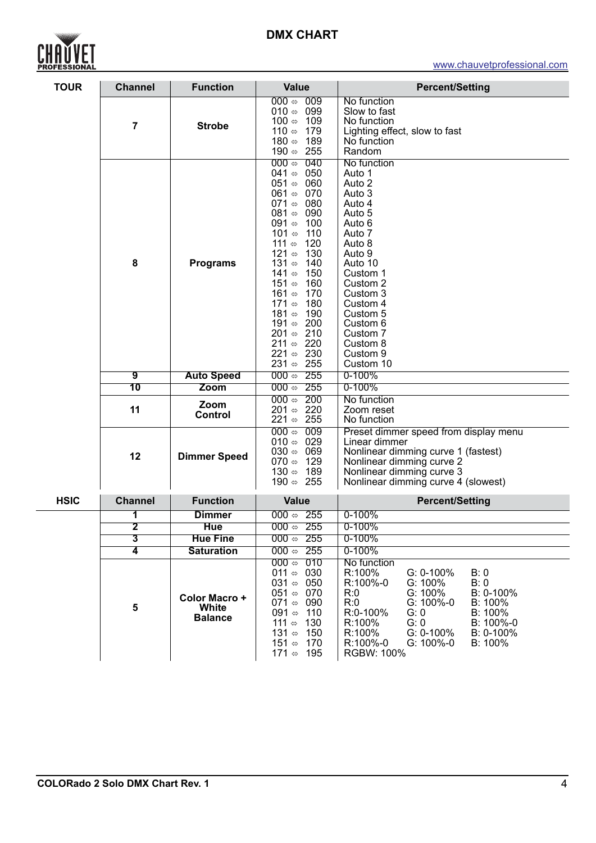## **DMX CHART**



### <www.chauvetprofessional.com>

| <b>TOUR</b> | <b>Channel</b>                               | <b>Function</b>                                      | <b>Value</b>                                                                                                                                                                                                                                                                                                                                                                                                                                                                                                                                                     | <b>Percent/Setting</b>                                                                                                                                                                                                                                                                              |
|-------------|----------------------------------------------|------------------------------------------------------|------------------------------------------------------------------------------------------------------------------------------------------------------------------------------------------------------------------------------------------------------------------------------------------------------------------------------------------------------------------------------------------------------------------------------------------------------------------------------------------------------------------------------------------------------------------|-----------------------------------------------------------------------------------------------------------------------------------------------------------------------------------------------------------------------------------------------------------------------------------------------------|
|             | $\overline{7}$                               | <b>Strobe</b>                                        | 009<br>000 $\Leftrightarrow$<br>099<br>010 ⇔<br>109<br>100 $\Leftrightarrow$<br>110 ⇔<br>179<br>180 $\Leftrightarrow$<br>189<br>190 $\Leftrightarrow$ 255                                                                                                                                                                                                                                                                                                                                                                                                        | No function<br>Slow to fast<br>No function<br>Lighting effect, slow to fast<br>No function<br>Random                                                                                                                                                                                                |
|             | 8<br>$\overline{9}$<br>$\overline{10}$<br>11 | <b>Programs</b><br><b>Auto Speed</b><br>Zoom<br>Zoom | 000 $\Leftrightarrow$<br>040<br>050<br>041 $\Leftrightarrow$<br>060<br>051 ⇔<br>070<br>061 ⇔<br>071 ⇔<br>080<br>090<br>081 ⇔<br>091 $\Leftrightarrow$<br>100<br>101 ⇔<br>110<br>111 $\Leftrightarrow$<br>120<br>130<br>121 ⇔<br>131 ⇔<br>140<br>150<br>141 ⇔<br>151 ⇔<br>160<br>161 ⇔<br>170<br>180<br>171 ⇔<br>190<br>181 ⇔<br>191 ⇔<br>200<br>210<br>201 ⇔<br>220<br>211 $\Leftrightarrow$<br>221 $\Leftrightarrow$ 230<br>231 $\Leftrightarrow$ 255<br>$000 \Leftrightarrow 255$<br>$000 \Leftrightarrow 255$<br>200<br>000 $\Leftrightarrow$<br>220<br>201 ⇔ | No function<br>Auto 1<br>Auto 2<br>Auto 3<br>Auto 4<br>Auto 5<br>Auto 6<br>Auto 7<br>Auto 8<br>Auto 9<br>Auto 10<br>Custom 1<br>Custom 2<br>Custom 3<br>Custom 4<br>Custom 5<br>Custom 6<br>Custom 7<br>Custom 8<br>Custom 9<br>Custom 10<br>0-100%<br>0-100%<br>No function<br>Zoom reset          |
|             | 12                                           | <b>Control</b><br><b>Dimmer Speed</b>                | 255<br>221 ⇔<br>$000 \Leftrightarrow$<br>009<br>029<br>010 ⇔<br>030 $\Leftrightarrow$<br>069<br>070 $\Leftrightarrow$<br>129<br>189<br>130 ⇔                                                                                                                                                                                                                                                                                                                                                                                                                     | No function<br>Preset dimmer speed from display menu<br>Linear dimmer<br>Nonlinear dimming curve 1 (fastest)<br>Nonlinear dimming curve 2<br>Nonlinear dimming curve 3                                                                                                                              |
|             |                                              |                                                      | 190 $\Leftrightarrow$ 255                                                                                                                                                                                                                                                                                                                                                                                                                                                                                                                                        | Nonlinear dimming curve 4 (slowest)                                                                                                                                                                                                                                                                 |
| <b>HSIC</b> | <b>Channel</b>                               | <b>Function</b>                                      | <b>Value</b>                                                                                                                                                                                                                                                                                                                                                                                                                                                                                                                                                     | <b>Percent/Setting</b>                                                                                                                                                                                                                                                                              |
|             | 1                                            | <b>Dimmer</b>                                        | $000 \Leftrightarrow 255$                                                                                                                                                                                                                                                                                                                                                                                                                                                                                                                                        | $0 - 100%$                                                                                                                                                                                                                                                                                          |
|             | 2                                            | Hue                                                  | $000 \Leftrightarrow 255$                                                                                                                                                                                                                                                                                                                                                                                                                                                                                                                                        | $0 - 100%$                                                                                                                                                                                                                                                                                          |
|             | $\overline{\mathbf{3}}$                      | <b>Hue Fine</b>                                      | 000 $\Leftrightarrow$ 255                                                                                                                                                                                                                                                                                                                                                                                                                                                                                                                                        | $0 - 100%$                                                                                                                                                                                                                                                                                          |
|             | $\overline{\mathbf{4}}$                      | <b>Saturation</b>                                    | 000 $\Leftrightarrow$ 255<br>$000 \Leftrightarrow 010$                                                                                                                                                                                                                                                                                                                                                                                                                                                                                                           | 0-100%                                                                                                                                                                                                                                                                                              |
|             | 5                                            | Color Macro +<br>White<br><b>Balance</b>             | 011 $\Leftrightarrow$ 030<br>031 $\Leftrightarrow$ 050<br>$051 \Leftrightarrow 070$<br>071 $\Leftrightarrow$ 090<br>091 $\Leftrightarrow$<br>110<br>111 $\Leftrightarrow$ 130<br>131 $\Leftrightarrow$<br>150<br>151 $\Leftrightarrow$ 170<br>171 $\Leftrightarrow$ 195                                                                                                                                                                                                                                                                                          | No function<br>R:100%<br>$G: 0-100\%$<br>B: 0<br>R:100%-0<br>G: 100%<br>B:0<br>G: 100%<br>B: 0-100%<br>R:0<br>R:0<br>G: 100%-0<br>B: 100%<br>B: 100%<br>R:0-100%<br>G: 0<br>R:100%<br>G: 0<br>B: 100%-0<br>G: 0-100%<br>R:100%<br>$B: 0-100\%$<br>R:100%-0<br>G: 100%-0<br>$B: 100\%$<br>RGBW: 100% |